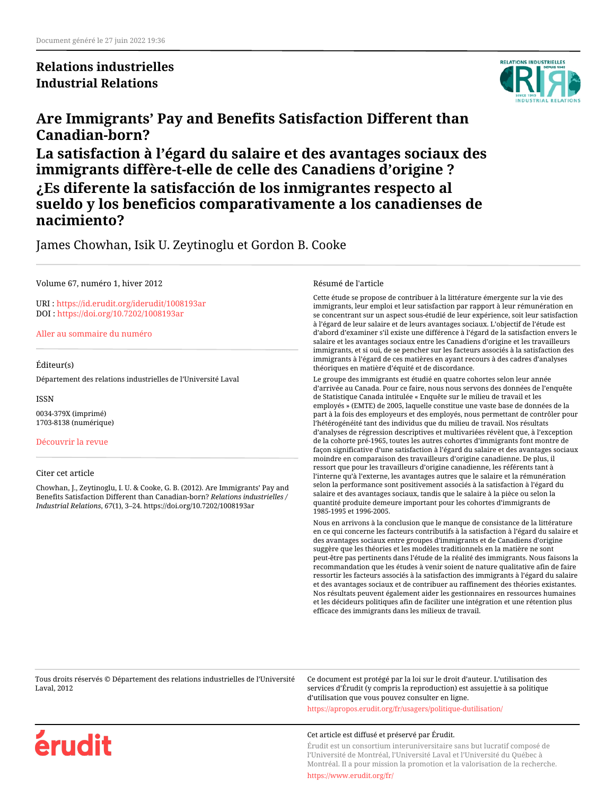# **Relations industrielles Industrial Relations**



# **Are Immigrants' Pay and Benefits Satisfaction Different than Canadian-born?**

**La satisfaction à l'égard du salaire et des avantages sociaux des immigrants diffère-t-elle de celle des Canadiens d'origine ? ¿Es diferente la satisfacción de los inmigrantes respecto al sueldo y los beneficios comparativamente a los canadienses de nacimiento?**

James Chowhan, Isik U. Zeytinoglu et Gordon B. Cooke

#### Volume 67, numéro 1, hiver 2012

URI :<https://id.erudit.org/iderudit/1008193ar> DOI :<https://doi.org/10.7202/1008193ar>

[Aller au sommaire du numéro](https://www.erudit.org/fr/revues/ri/2012-v67-n1-ri5008132/)

#### Éditeur(s)

Département des relations industrielles de l'Université Laval

ISSN

0034-379X (imprimé) 1703-8138 (numérique)

[Découvrir la revue](https://www.erudit.org/fr/revues/ri/)

#### Citer cet article

Chowhan, J., Zeytinoglu, I. U. & Cooke, G. B. (2012). Are Immigrants' Pay and Benefits Satisfaction Different than Canadian-born? *Relations industrielles / Industrial Relations*, *67*(1), 3–24. https://doi.org/10.7202/1008193ar

Résumé de l'article

Cette étude se propose de contribuer à la littérature émergente sur la vie des immigrants, leur emploi et leur satisfaction par rapport à leur rémunération en se concentrant sur un aspect sous-étudié de leur expérience, soit leur satisfaction à l'égard de leur salaire et de leurs avantages sociaux. L'objectif de l'étude est d'abord d'examiner s'il existe une différence à l'égard de la satisfaction envers le salaire et les avantages sociaux entre les Canadiens d'origine et les travailleurs immigrants, et si oui, de se pencher sur les facteurs associés à la satisfaction des immigrants à l'égard de ces matières en ayant recours à des cadres d'analyses théoriques en matière d'équité et de discordance.

Le groupe des immigrants est étudié en quatre cohortes selon leur année d'arrivée au Canada. Pour ce faire, nous nous servons des données de l'enquête de Statistique Canada intitulée « Enquête sur le milieu de travail et les employés » (EMTE) de 2005, laquelle constitue une vaste base de données de la part à la fois des employeurs et des employés, nous permettant de contrôler pour l'hétérogénéité tant des individus que du milieu de travail. Nos résultats d'analyses de régression descriptives et multivariées révèlent que, à l'exception de la cohorte pré-1965, toutes les autres cohortes d'immigrants font montre de façon significative d'une satisfaction à l'égard du salaire et des avantages sociaux moindre en comparaison des travailleurs d'origine canadienne. De plus, il ressort que pour les travailleurs d'origine canadienne, les référents tant à l'interne qu'à l'externe, les avantages autres que le salaire et la rémunération selon la performance sont positivement associés à la satisfaction à l'égard du salaire et des avantages sociaux, tandis que le salaire à la pièce ou selon la quantité produite demeure important pour les cohortes d'immigrants de 1985-1995 et 1996-2005.

Nous en arrivons à la conclusion que le manque de consistance de la littérature en ce qui concerne les facteurs contributifs à la satisfaction à l'égard du salaire et des avantages sociaux entre groupes d'immigrants et de Canadiens d'origine suggère que les théories et les modèles traditionnels en la matière ne sont peut-être pas pertinents dans l'étude de la réalité des immigrants. Nous faisons la recommandation que les études à venir soient de nature qualitative afin de faire ressortir les facteurs associés à la satisfaction des immigrants à l'égard du salaire et des avantages sociaux et de contribuer au raffinement des théories existantes. Nos résultats peuvent également aider les gestionnaires en ressources humaines et les décideurs politiques afin de faciliter une intégration et une rétention plus efficace des immigrants dans les milieux de travail.

Tous droits réservés © Département des relations industrielles de l'Université Laval, 2012

Ce document est protégé par la loi sur le droit d'auteur. L'utilisation des services d'Érudit (y compris la reproduction) est assujettie à sa politique d'utilisation que vous pouvez consulter en ligne.

<https://apropos.erudit.org/fr/usagers/politique-dutilisation/>



#### Cet article est diffusé et préservé par Érudit.

Érudit est un consortium interuniversitaire sans but lucratif composé de l'Université de Montréal, l'Université Laval et l'Université du Québec à Montréal. Il a pour mission la promotion et la valorisation de la recherche.

<https://www.erudit.org/fr/>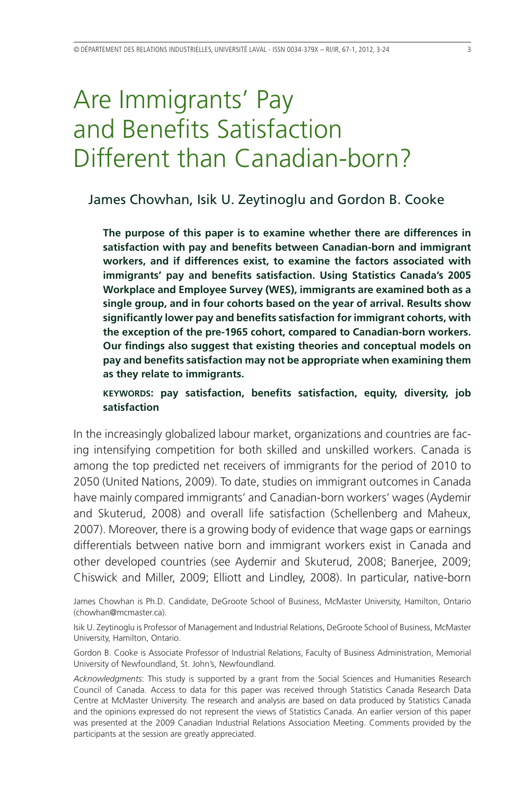# Are Immigrants' Pay and Benefits Satisfaction Different than Canadian-born?

James Chowhan, Isik U. Zeytinoglu and Gordon B. Cooke

**The purpose of this paper is to examine whether there are differences in satisfaction with pay and benefits between Canadian-born and immigrant workers, and if differences exist, to examine the factors associated with immigrants' pay and benefits satisfaction. Using Statistics Canada's 2005 Workplace and Employee Survey (WES), immigrants are examined both as a single group, and in four cohorts based on the year of arrival. Results show significantly lower pay and benefits satisfaction for immigrant cohorts, with the exception of the pre-1965 cohort, compared to Canadian-born workers. Our findings also suggest that existing theories and conceptual models on pay and benefits satisfaction may not be appropriate when examining them as they relate to immigrants.** 

**Keywords: pay satisfaction, benefits satisfaction, equity, diversity, job satisfaction**

In the increasingly globalized labour market, organizations and countries are facing intensifying competition for both skilled and unskilled workers. Canada is among the top predicted net receivers of immigrants for the period of 2010 to 2050 (United Nations, 2009). To date, studies on immigrant outcomes in Canada have mainly compared immigrants' and Canadian-born workers' wages (Aydemir and Skuterud, 2008) and overall life satisfaction (Schellenberg and Maheux, 2007). Moreover, there is a growing body of evidence that wage gaps or earnings differentials between native born and immigrant workers exist in Canada and other developed countries (see Aydemir and Skuterud, 2008; Banerjee, 2009; Chiswick and Miller, 2009; Elliott and Lindley, 2008). In particular, native-born

James Chowhan is Ph.D. Candidate, DeGroote School of Business, McMaster University, Hamilton, Ontario (chowhan@mcmaster.ca).

Isik U. Zeytinoglu is Professor of Management and Industrial Relations, DeGroote School of Business, McMaster University, Hamilton, Ontario.

Gordon B. Cooke is Associate Professor of Industrial Relations, Faculty of Business Administration, Memorial University of Newfoundland, St. John's, Newfoundland.

*Acknowledgments*: This study is supported by a grant from the Social Sciences and Humanities Research Council of Canada. Access to data for this paper was received through Statistics Canada Research Data Centre at McMaster University. The research and analysis are based on data produced by Statistics Canada and the opinions expressed do not represent the views of Statistics Canada. An earlier version of this paper was presented at the 2009 Canadian Industrial Relations Association Meeting. Comments provided by the participants at the session are greatly appreciated.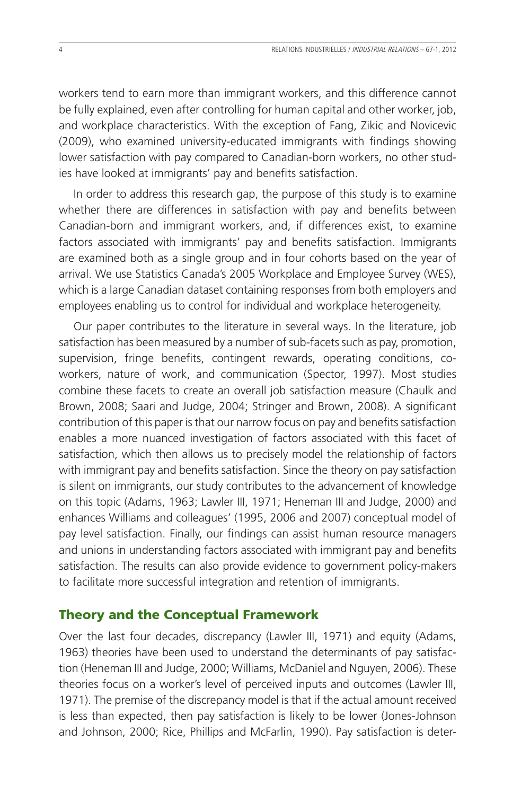workers tend to earn more than immigrant workers, and this difference cannot be fully explained, even after controlling for human capital and other worker, job, and workplace characteristics. With the exception of Fang, Zikic and Novicevic (2009), who examined university-educated immigrants with findings showing lower satisfaction with pay compared to Canadian-born workers, no other studies have looked at immigrants' pay and benefits satisfaction.

In order to address this research gap, the purpose of this study is to examine whether there are differences in satisfaction with pay and benefits between Canadian-born and immigrant workers, and, if differences exist, to examine factors associated with immigrants' pay and benefits satisfaction. Immigrants are examined both as a single group and in four cohorts based on the year of arrival. We use Statistics Canada's 2005 Workplace and Employee Survey (WES), which is a large Canadian dataset containing responses from both employers and employees enabling us to control for individual and workplace heterogeneity.

Our paper contributes to the literature in several ways. In the literature, job satisfaction has been measured by a number of sub-facets such as pay, promotion, supervision, fringe benefits, contingent rewards, operating conditions, coworkers, nature of work, and communication (Spector, 1997). Most studies combine these facets to create an overall job satisfaction measure (Chaulk and Brown, 2008; Saari and Judge, 2004; Stringer and Brown, 2008). A significant contribution of this paper is that our narrow focus on pay and benefits satisfaction enables a more nuanced investigation of factors associated with this facet of satisfaction, which then allows us to precisely model the relationship of factors with immigrant pay and benefits satisfaction. Since the theory on pay satisfaction is silent on immigrants, our study contributes to the advancement of knowledge on this topic (Adams, 1963; Lawler III, 1971; Heneman III and Judge, 2000) and enhances Williams and colleagues' (1995, 2006 and 2007) conceptual model of pay level satisfaction. Finally, our findings can assist human resource managers and unions in understanding factors associated with immigrant pay and benefits satisfaction. The results can also provide evidence to government policy-makers to facilitate more successful integration and retention of immigrants.

#### Theory and the Conceptual Framework

Over the last four decades, discrepancy (Lawler III, 1971) and equity (Adams, 1963) theories have been used to understand the determinants of pay satisfaction (Heneman III and Judge, 2000; Williams, McDaniel and Nguyen, 2006). These theories focus on a worker's level of perceived inputs and outcomes (Lawler III, 1971). The premise of the discrepancy model is that if the actual amount received is less than expected, then pay satisfaction is likely to be lower (Jones-Johnson and Johnson, 2000; Rice, Phillips and McFarlin, 1990). Pay satisfaction is deter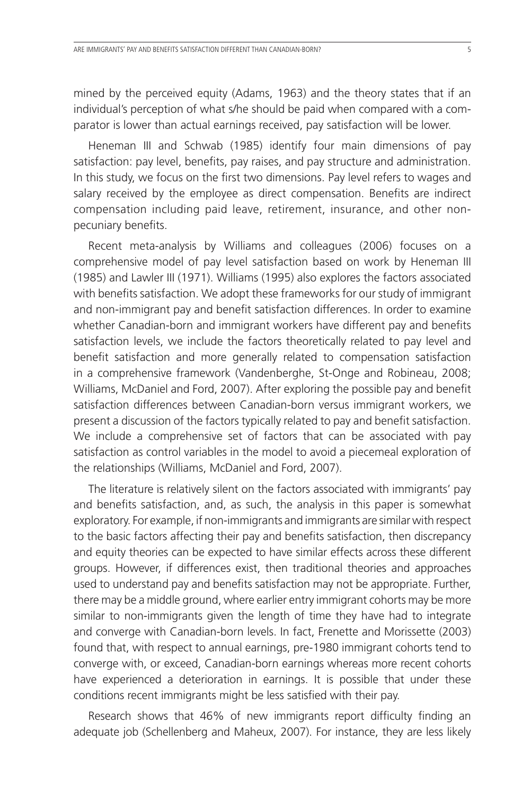mined by the perceived equity (Adams, 1963) and the theory states that if an individual's perception of what s/he should be paid when compared with a comparator is lower than actual earnings received, pay satisfaction will be lower.

Heneman III and Schwab (1985) identify four main dimensions of pay satisfaction: pay level, benefits, pay raises, and pay structure and administration. In this study, we focus on the first two dimensions. Pay level refers to wages and salary received by the employee as direct compensation. Benefits are indirect compensation including paid leave, retirement, insurance, and other nonpecuniary benefits.

Recent meta-analysis by Williams and colleagues (2006) focuses on a comprehensive model of pay level satisfaction based on work by Heneman III (1985) and Lawler III (1971). Williams (1995) also explores the factors associated with benefits satisfaction. We adopt these frameworks for our study of immigrant and non-immigrant pay and benefit satisfaction differences. In order to examine whether Canadian-born and immigrant workers have different pay and benefits satisfaction levels, we include the factors theoretically related to pay level and benefit satisfaction and more generally related to compensation satisfaction in a comprehensive framework (Vandenberghe, St-Onge and Robineau, 2008; Williams, McDaniel and Ford, 2007). After exploring the possible pay and benefit satisfaction differences between Canadian-born versus immigrant workers, we present a discussion of the factors typically related to pay and benefit satisfaction. We include a comprehensive set of factors that can be associated with pay satisfaction as control variables in the model to avoid a piecemeal exploration of the relationships (Williams, McDaniel and Ford, 2007).

The literature is relatively silent on the factors associated with immigrants' pay and benefits satisfaction, and, as such, the analysis in this paper is somewhat exploratory. For example, if non-immigrants and immigrants are similar with respect to the basic factors affecting their pay and benefits satisfaction, then discrepancy and equity theories can be expected to have similar effects across these different groups. However, if differences exist, then traditional theories and approaches used to understand pay and benefits satisfaction may not be appropriate. Further, there may be a middle ground, where earlier entry immigrant cohorts may be more similar to non-immigrants given the length of time they have had to integrate and converge with Canadian-born levels. In fact, Frenette and Morissette (2003) found that, with respect to annual earnings, pre-1980 immigrant cohorts tend to converge with, or exceed, Canadian-born earnings whereas more recent cohorts have experienced a deterioration in earnings. It is possible that under these conditions recent immigrants might be less satisfied with their pay.

Research shows that 46% of new immigrants report difficulty finding an adequate job (Schellenberg and Maheux, 2007). For instance, they are less likely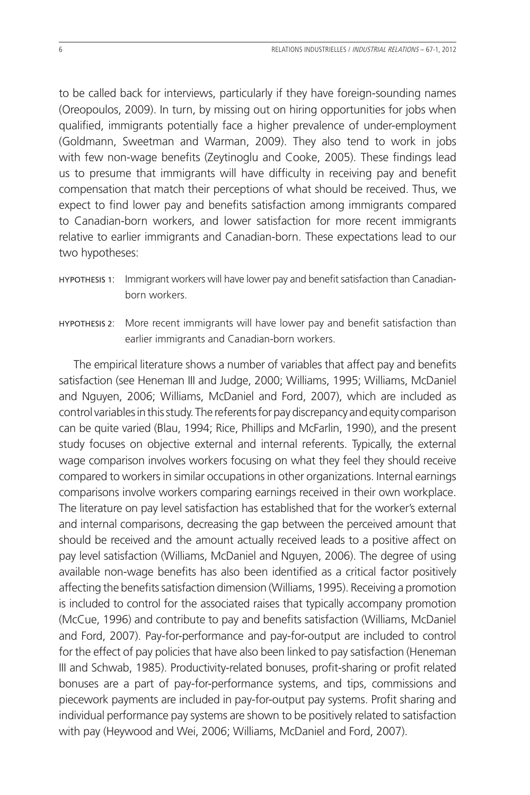to be called back for interviews, particularly if they have foreign-sounding names (Oreopoulos, 2009). In turn, by missing out on hiring opportunities for jobs when qualified, immigrants potentially face a higher prevalence of under-employment (Goldmann, Sweetman and Warman, 2009). They also tend to work in jobs with few non-wage benefits (Zeytinoglu and Cooke, 2005). These findings lead us to presume that immigrants will have difficulty in receiving pay and benefit compensation that match their perceptions of what should be received. Thus, we expect to find lower pay and benefits satisfaction among immigrants compared to Canadian-born workers, and lower satisfaction for more recent immigrants relative to earlier immigrants and Canadian-born. These expectations lead to our two hypotheses:

HYPOTHESIS 2: More recent immigrants will have lower pay and benefit satisfaction than earlier immigrants and Canadian-born workers.

The empirical literature shows a number of variables that affect pay and benefits satisfaction (see Heneman III and Judge, 2000; Williams, 1995; Williams, McDaniel and Nguyen, 2006; Williams, McDaniel and Ford, 2007), which are included as control variables in this study. The referents for pay discrepancy and equity comparison can be quite varied (Blau, 1994; Rice, Phillips and McFarlin, 1990), and the present study focuses on objective external and internal referents. Typically, the external wage comparison involves workers focusing on what they feel they should receive compared to workers in similar occupations in other organizations. Internal earnings comparisons involve workers comparing earnings received in their own workplace. The literature on pay level satisfaction has established that for the worker's external and internal comparisons, decreasing the gap between the perceived amount that should be received and the amount actually received leads to a positive affect on pay level satisfaction (Williams, McDaniel and Nguyen, 2006). The degree of using available non-wage benefits has also been identified as a critical factor positively affecting the benefits satisfaction dimension (Williams, 1995). Receiving a promotion is included to control for the associated raises that typically accompany promotion (McCue, 1996) and contribute to pay and benefits satisfaction (Williams, McDaniel and Ford, 2007). Pay-for-performance and pay-for-output are included to control for the effect of pay policies that have also been linked to pay satisfaction (Heneman III and Schwab, 1985). Productivity-related bonuses, profit-sharing or profit related bonuses are a part of pay-for-performance systems, and tips, commissions and piecework payments are included in pay-for-output pay systems. Profit sharing and individual performance pay systems are shown to be positively related to satisfaction with pay (Heywood and Wei, 2006; Williams, McDaniel and Ford, 2007).

Hypothesis 1: Immigrant workers will have lower pay and benefit satisfaction than Canadianborn workers.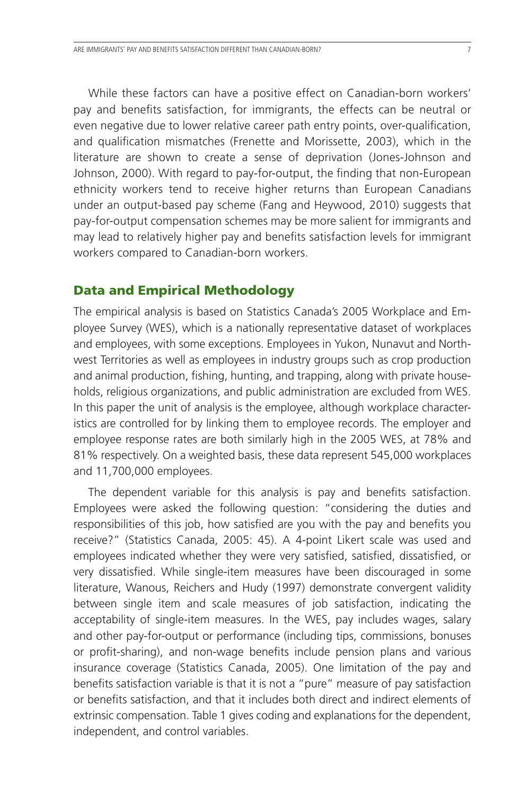While these factors can have a positive effect on Canadian-born workers' pay and benefits satisfaction, for immigrants, the effects can be neutral or even negative due to lower relative career path entry points, over-qualification, and qualification mismatches (Frenette and Morissette, 2003), which in the literature are shown to create a sense of deprivation (Jones-Johnson and Johnson, 2000). With regard to pay-for-output, the finding that non-European ethnicity workers tend to receive higher returns than European Canadians under an output-based pay scheme (Fang and Heywood, 2010) suggests that pay-for-output compensation schemes may be more salient for immigrants and may lead to relatively higher pay and benefits satisfaction levels for immigrant workers compared to Canadian-born workers.

#### Data and Empirical Methodology

The empirical analysis is based on Statistics Canada's 2005 Workplace and Employee Survey (WES), which is a nationally representative dataset of workplaces and employees, with some exceptions. Employees in Yukon, Nunavut and Northwest Territories as well as employees in industry groups such as crop production and animal production, fishing, hunting, and trapping, along with private households, religious organizations, and public administration are excluded from WES. In this paper the unit of analysis is the employee, although workplace characteristics are controlled for by linking them to employee records. The employer and employee response rates are both similarly high in the 2005 WES, at 78% and 81% respectively. On a weighted basis, these data represent 545,000 workplaces and 11,700,000 employees.

The dependent variable for this analysis is pay and benefits satisfaction. Employees were asked the following question: "considering the duties and responsibilities of this job, how satisfied are you with the pay and benefits you receive?" (Statistics Canada, 2005: 45). A 4-point Likert scale was used and employees indicated whether they were very satisfied, satisfied, dissatisfied, or very dissatisfied. While single-item measures have been discouraged in some literature, Wanous, Reichers and Hudy (1997) demonstrate convergent validity between single item and scale measures of job satisfaction, indicating the acceptability of single-item measures. In the WES, pay includes wages, salary and other pay-for-output or performance (including tips, commissions, bonuses or profit-sharing), and non-wage benefits include pension plans and various insurance coverage (Statistics Canada, 2005). One limitation of the pay and benefits satisfaction variable is that it is not a "pure" measure of pay satisfaction or benefits satisfaction, and that it includes both direct and indirect elements of extrinsic compensation. Table 1 gives coding and explanations for the dependent, independent, and control variables.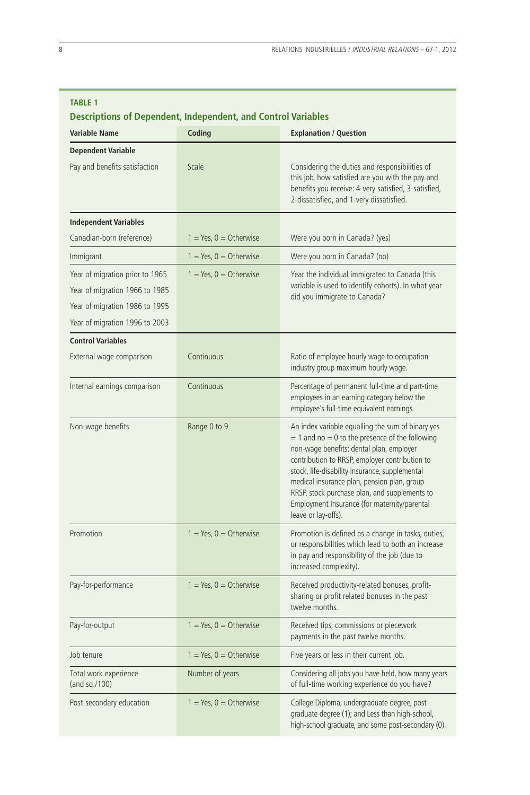| <b>Descriptions of Dependent, Independent, and Control Variables</b>                                                                  |                          |                                                                                                                                                                                                                                                                                                                                                                                                                                 |  |  |  |
|---------------------------------------------------------------------------------------------------------------------------------------|--------------------------|---------------------------------------------------------------------------------------------------------------------------------------------------------------------------------------------------------------------------------------------------------------------------------------------------------------------------------------------------------------------------------------------------------------------------------|--|--|--|
| <b>Variable Name</b>                                                                                                                  | Coding                   | <b>Explanation / Question</b>                                                                                                                                                                                                                                                                                                                                                                                                   |  |  |  |
| <b>Dependent Variable</b><br>Pay and benefits satisfaction                                                                            | Scale                    | Considering the duties and responsibilities of<br>this job, how satisfied are you with the pay and<br>benefits you receive: 4-very satisfied, 3-satisfied,<br>2-dissatisfied, and 1-very dissatisfied.                                                                                                                                                                                                                          |  |  |  |
|                                                                                                                                       |                          |                                                                                                                                                                                                                                                                                                                                                                                                                                 |  |  |  |
| <b>Independent Variables</b>                                                                                                          |                          |                                                                                                                                                                                                                                                                                                                                                                                                                                 |  |  |  |
| Canadian-born (reference)                                                                                                             | $1 = Yes, 0 = Otherwise$ | Were you born in Canada? (yes)                                                                                                                                                                                                                                                                                                                                                                                                  |  |  |  |
| Immigrant                                                                                                                             | $1 = Yes, 0 = Otherwise$ | Were you born in Canada? (no)                                                                                                                                                                                                                                                                                                                                                                                                   |  |  |  |
| Year of migration prior to 1965<br>Year of migration 1966 to 1985<br>Year of migration 1986 to 1995<br>Year of migration 1996 to 2003 | $1 = Yes, 0 = Otherwise$ | Year the individual immigrated to Canada (this<br>variable is used to identify cohorts). In what year<br>did you immigrate to Canada?                                                                                                                                                                                                                                                                                           |  |  |  |
| <b>Control Variables</b>                                                                                                              |                          |                                                                                                                                                                                                                                                                                                                                                                                                                                 |  |  |  |
| External wage comparison                                                                                                              | Continuous               | Ratio of employee hourly wage to occupation-<br>industry group maximum hourly wage.                                                                                                                                                                                                                                                                                                                                             |  |  |  |
| Internal earnings comparison                                                                                                          | Continuous               | Percentage of permanent full-time and part-time<br>employees in an earning category below the<br>employee's full-time equivalent earnings.                                                                                                                                                                                                                                                                                      |  |  |  |
| Non-wage benefits                                                                                                                     | Range 0 to 9             | An index variable equalling the sum of binary yes<br>$= 1$ and no $= 0$ to the presence of the following<br>non-wage benefits: dental plan, employer<br>contribution to RRSP, employer contribution to<br>stock, life-disability insurance, supplemental<br>medical insurance plan, pension plan, group<br>RRSP, stock purchase plan, and supplements to<br>Employment Insurance (for maternity/parental<br>leave or lay-offs). |  |  |  |
| Promotion                                                                                                                             | $1 = Yes, 0 = Otherwise$ | Promotion is defined as a change in tasks, duties,<br>or responsibilities which lead to both an increase<br>in pay and responsibility of the job (due to<br>increased complexity).                                                                                                                                                                                                                                              |  |  |  |
| Pay-for-performance                                                                                                                   | $1 = Yes, 0 = Otherwise$ | Received productivity-related bonuses, profit-<br>sharing or profit related bonuses in the past<br>twelve months.                                                                                                                                                                                                                                                                                                               |  |  |  |
| Pay-for-output                                                                                                                        | $1 = Yes, 0 = Otherwise$ | Received tips, commissions or piecework<br>payments in the past twelve months.                                                                                                                                                                                                                                                                                                                                                  |  |  |  |
| Job tenure                                                                                                                            | $1 = Yes, 0 = Otherwise$ | Five years or less in their current job.                                                                                                                                                                                                                                                                                                                                                                                        |  |  |  |
| Total work experience<br>(and sq./100)                                                                                                | Number of years          | Considering all jobs you have held, how many years<br>of full-time working experience do you have?                                                                                                                                                                                                                                                                                                                              |  |  |  |
| Post-secondary education                                                                                                              | $1 = Yes, 0 = Otherwise$ | College Diploma, undergraduate degree, post-<br>graduate degree (1); and Less than high-school,<br>high-school graduate, and some post-secondary (0).                                                                                                                                                                                                                                                                           |  |  |  |

#### **TABLE 1**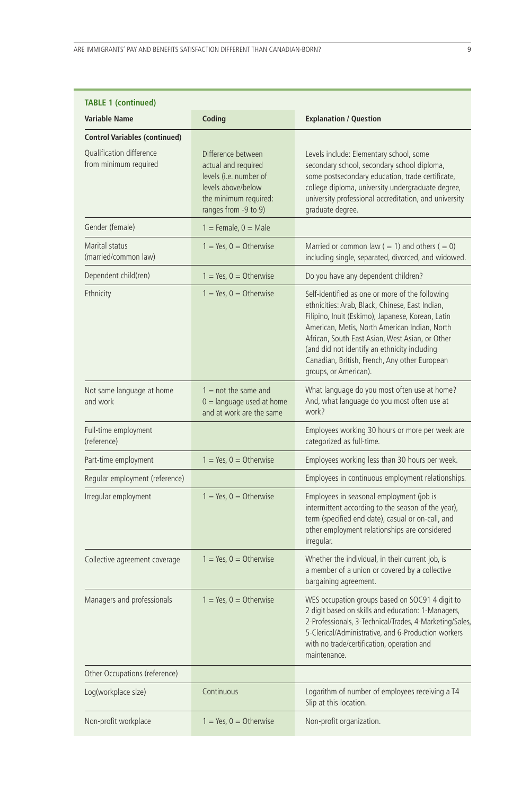| <b>TABLE 1 (continued)</b>                        |                                                                                                                                            |                                                                                                                                                                                                                                                                                                                                                                                       |  |  |  |
|---------------------------------------------------|--------------------------------------------------------------------------------------------------------------------------------------------|---------------------------------------------------------------------------------------------------------------------------------------------------------------------------------------------------------------------------------------------------------------------------------------------------------------------------------------------------------------------------------------|--|--|--|
| Variable Name                                     | Coding                                                                                                                                     | <b>Explanation / Question</b>                                                                                                                                                                                                                                                                                                                                                         |  |  |  |
| <b>Control Variables (continued)</b>              |                                                                                                                                            |                                                                                                                                                                                                                                                                                                                                                                                       |  |  |  |
| Qualification difference<br>from minimum required | Difference between<br>actual and required<br>levels (i.e. number of<br>levels above/below<br>the minimum required:<br>ranges from -9 to 9) | Levels include: Elementary school, some<br>secondary school, secondary school diploma,<br>some postsecondary education, trade certificate,<br>college diploma, university undergraduate degree,<br>university professional accreditation, and university<br>graduate degree.                                                                                                          |  |  |  |
| Gender (female)                                   | $1 =$ Female, $0 =$ Male                                                                                                                   |                                                                                                                                                                                                                                                                                                                                                                                       |  |  |  |
| Marital status<br>(married/common law)            | $1 = Yes, 0 = Otherwise$                                                                                                                   | Married or common law ( $= 1$ ) and others ( $= 0$ )<br>including single, separated, divorced, and widowed.                                                                                                                                                                                                                                                                           |  |  |  |
| Dependent child(ren)                              | $1 = Yes, 0 = Otherwise$                                                                                                                   | Do you have any dependent children?                                                                                                                                                                                                                                                                                                                                                   |  |  |  |
| Ethnicity                                         | $1 = Yes, 0 = Otherwise$                                                                                                                   | Self-identified as one or more of the following<br>ethnicities: Arab, Black, Chinese, East Indian,<br>Filipino, Inuit (Eskimo), Japanese, Korean, Latin<br>American, Metis, North American Indian, North<br>African, South East Asian, West Asian, or Other<br>(and did not identify an ethnicity including<br>Canadian, British, French, Any other European<br>groups, or American). |  |  |  |
| Not same language at home<br>and work             | $1 = not$ the same and<br>$0 =$ language used at home<br>and at work are the same                                                          | What language do you most often use at home?<br>And, what language do you most often use at<br>work?                                                                                                                                                                                                                                                                                  |  |  |  |
| Full-time employment<br>(reference)               |                                                                                                                                            | Employees working 30 hours or more per week are<br>categorized as full-time.                                                                                                                                                                                                                                                                                                          |  |  |  |
| Part-time employment                              | $1 = Yes, 0 = Otherwise$                                                                                                                   | Employees working less than 30 hours per week.                                                                                                                                                                                                                                                                                                                                        |  |  |  |
| Regular employment (reference)                    |                                                                                                                                            | Employees in continuous employment relationships.                                                                                                                                                                                                                                                                                                                                     |  |  |  |
| Irregular employment                              | $1 = Yes, 0 = Otherwise$                                                                                                                   | Employees in seasonal employment (job is<br>intermittent according to the season of the year),<br>term (specified end date), casual or on-call, and<br>other employment relationships are considered<br>irregular.                                                                                                                                                                    |  |  |  |
| Collective agreement coverage                     | $1 = Yes, 0 = Otherwise$                                                                                                                   | Whether the individual, in their current job, is<br>a member of a union or covered by a collective<br>bargaining agreement.                                                                                                                                                                                                                                                           |  |  |  |
| Managers and professionals                        | $1 = Yes, 0 = Otherwise$                                                                                                                   | WES occupation groups based on SOC91 4 digit to<br>2 digit based on skills and education: 1-Managers,<br>2-Professionals, 3-Technical/Trades, 4-Marketing/Sales,<br>5-Clerical/Administrative, and 6-Production workers<br>with no trade/certification, operation and<br>maintenance.                                                                                                 |  |  |  |
| Other Occupations (reference)                     |                                                                                                                                            |                                                                                                                                                                                                                                                                                                                                                                                       |  |  |  |
| Log(workplace size)                               | Continuous                                                                                                                                 | Logarithm of number of employees receiving a T4<br>Slip at this location.                                                                                                                                                                                                                                                                                                             |  |  |  |
| Non-profit workplace                              | $1 = Yes, 0 = Otherwise$                                                                                                                   | Non-profit organization.                                                                                                                                                                                                                                                                                                                                                              |  |  |  |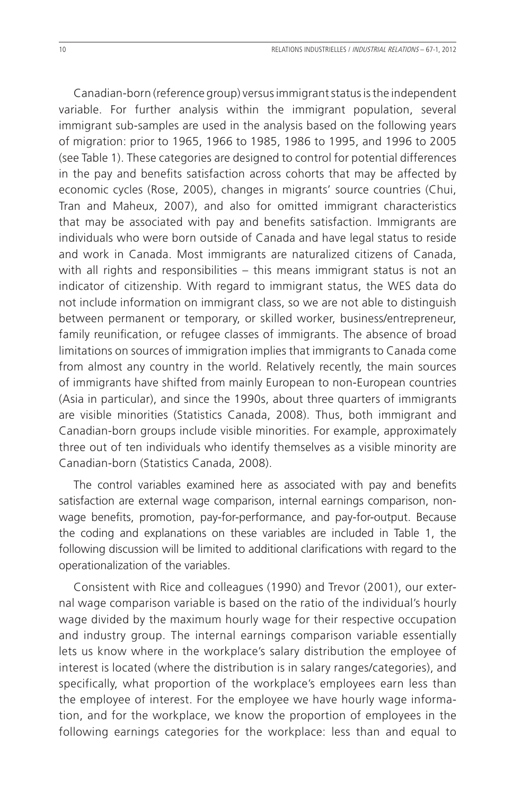Canadian-born (reference group) versus immigrant status is the independent variable. For further analysis within the immigrant population, several immigrant sub-samples are used in the analysis based on the following years of migration: prior to 1965, 1966 to 1985, 1986 to 1995, and 1996 to 2005 (see Table 1). These categories are designed to control for potential differences in the pay and benefits satisfaction across cohorts that may be affected by economic cycles (Rose, 2005), changes in migrants' source countries (Chui, Tran and Maheux, 2007), and also for omitted immigrant characteristics that may be associated with pay and benefits satisfaction. Immigrants are individuals who were born outside of Canada and have legal status to reside and work in Canada. Most immigrants are naturalized citizens of Canada, with all rights and responsibilities – this means immigrant status is not an indicator of citizenship. With regard to immigrant status, the WES data do not include information on immigrant class, so we are not able to distinguish between permanent or temporary, or skilled worker, business/entrepreneur, family reunification, or refugee classes of immigrants. The absence of broad limitations on sources of immigration implies that immigrants to Canada come from almost any country in the world. Relatively recently, the main sources of immigrants have shifted from mainly European to non-European countries (Asia in particular), and since the 1990s, about three quarters of immigrants are visible minorities (Statistics Canada, 2008). Thus, both immigrant and Canadian-born groups include visible minorities. For example, approximately three out of ten individuals who identify themselves as a visible minority are Canadian-born (Statistics Canada, 2008).

The control variables examined here as associated with pay and benefits satisfaction are external wage comparison, internal earnings comparison, nonwage benefits, promotion, pay-for-performance, and pay-for-output. Because the coding and explanations on these variables are included in Table 1, the following discussion will be limited to additional clarifications with regard to the operationalization of the variables.

Consistent with Rice and colleagues (1990) and Trevor (2001), our external wage comparison variable is based on the ratio of the individual's hourly wage divided by the maximum hourly wage for their respective occupation and industry group. The internal earnings comparison variable essentially lets us know where in the workplace's salary distribution the employee of interest is located (where the distribution is in salary ranges/categories), and specifically, what proportion of the workplace's employees earn less than the employee of interest. For the employee we have hourly wage information, and for the workplace, we know the proportion of employees in the following earnings categories for the workplace: less than and equal to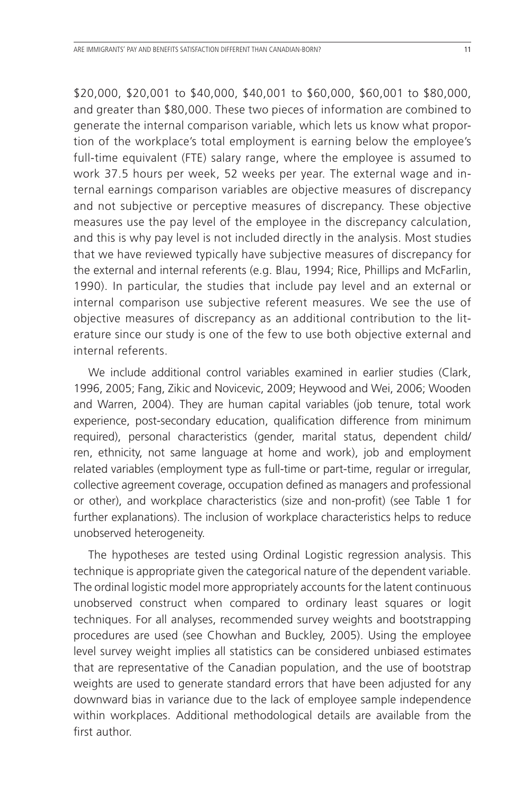\$20,000, \$20,001 to \$40,000, \$40,001 to \$60,000, \$60,001 to \$80,000, and greater than \$80,000. These two pieces of information are combined to generate the internal comparison variable, which lets us know what proportion of the workplace's total employment is earning below the employee's full-time equivalent (FTE) salary range, where the employee is assumed to work 37.5 hours per week, 52 weeks per year. The external wage and internal earnings comparison variables are objective measures of discrepancy and not subjective or perceptive measures of discrepancy. These objective measures use the pay level of the employee in the discrepancy calculation, and this is why pay level is not included directly in the analysis. Most studies that we have reviewed typically have subjective measures of discrepancy for the external and internal referents (e.g. Blau, 1994; Rice, Phillips and McFarlin, 1990). In particular, the studies that include pay level and an external or internal comparison use subjective referent measures. We see the use of objective measures of discrepancy as an additional contribution to the literature since our study is one of the few to use both objective external and internal referents.

We include additional control variables examined in earlier studies (Clark, 1996, 2005; Fang, Zikic and Novicevic, 2009; Heywood and Wei, 2006; Wooden and Warren, 2004). They are human capital variables (job tenure, total work experience, post-secondary education, qualification difference from minimum required), personal characteristics (gender, marital status, dependent child/ ren, ethnicity, not same language at home and work), job and employment related variables (employment type as full-time or part-time, regular or irregular, collective agreement coverage, occupation defined as managers and professional or other), and workplace characteristics (size and non-profit) (see Table 1 for further explanations). The inclusion of workplace characteristics helps to reduce unobserved heterogeneity.

The hypotheses are tested using Ordinal Logistic regression analysis. This technique is appropriate given the categorical nature of the dependent variable. The ordinal logistic model more appropriately accounts for the latent continuous unobserved construct when compared to ordinary least squares or logit techniques. For all analyses, recommended survey weights and bootstrapping procedures are used (see Chowhan and Buckley, 2005). Using the employee level survey weight implies all statistics can be considered unbiased estimates that are representative of the Canadian population, and the use of bootstrap weights are used to generate standard errors that have been adjusted for any downward bias in variance due to the lack of employee sample independence within workplaces. Additional methodological details are available from the first author.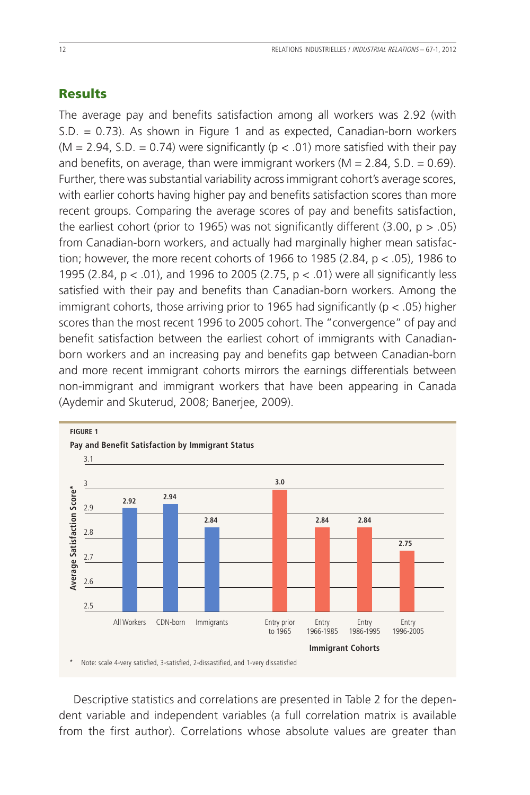## **Results**

The average pay and benefits satisfaction among all workers was 2.92 (with S.D. = 0.73). As shown in Figure 1 and as expected, Canadian-born workers (M = 2.94, S.D. = 0.74) were significantly ( $p < .01$ ) more satisfied with their pay and benefits, on average, than were immigrant workers  $(M = 2.84, S.D. = 0.69)$ . Further, there was substantial variability across immigrant cohort's average scores, with earlier cohorts having higher pay and benefits satisfaction scores than more recent groups. Comparing the average scores of pay and benefits satisfaction, the earliest cohort (prior to 1965) was not significantly different (3.00,  $p > .05$ ) from Canadian-born workers, and actually had marginally higher mean satisfaction; however, the more recent cohorts of 1966 to 1985 (2.84,  $p < .05$ ), 1986 to 1995 (2.84, p < .01), and 1996 to 2005 (2.75, p < .01) were all significantly less satisfied with their pay and benefits than Canadian-born workers. Among the immigrant cohorts, those arriving prior to 1965 had significantly ( $p < .05$ ) higher scores than the most recent 1996 to 2005 cohort. The "convergence" of pay and benefit satisfaction between the earliest cohort of immigrants with Canadianborn workers and an increasing pay and benefits gap between Canadian-born and more recent immigrant cohorts mirrors the earnings differentials between non-immigrant and immigrant workers that have been appearing in Canada (Aydemir and Skuterud, 2008; Banerjee, 2009).



Descriptive statistics and correlations are presented in Table 2 for the dependent variable and independent variables (a full correlation matrix is available from the first author). Correlations whose absolute values are greater than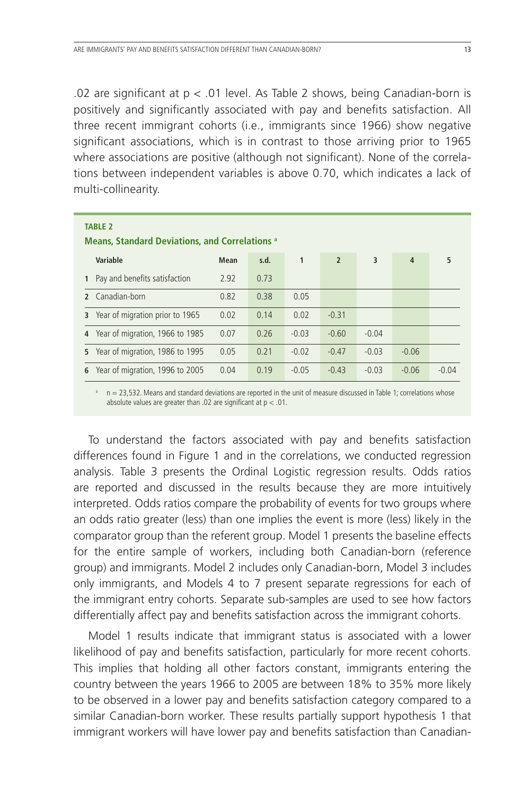.02 are significant at p < .01 level. As Table 2 shows, being Canadian-born is positively and significantly associated with pay and benefits satisfaction. All three recent immigrant cohorts (i.e., immigrants since 1966) show negative significant associations, which is in contrast to those arriving prior to 1965 where associations are positive (although not significant). None of the correlations between independent variables is above 0.70, which indicates a lack of multi-collinearity.

| 5       |
|---------|
|         |
|         |
|         |
|         |
|         |
| $-0.04$ |
|         |

 $n = 23,532$ . Means and standard deviations are reported in the unit of measure discussed in Table 1; correlations whose absolute values are greater than .02 are significant at p < .01.

To understand the factors associated with pay and benefits satisfaction differences found in Figure 1 and in the correlations, we conducted regression analysis. Table 3 presents the Ordinal Logistic regression results. Odds ratios are reported and discussed in the results because they are more intuitively interpreted. Odds ratios compare the probability of events for two groups where an odds ratio greater (less) than one implies the event is more (less) likely in the comparator group than the referent group. Model 1 presents the baseline effects for the entire sample of workers, including both Canadian-born (reference group) and immigrants. Model 2 includes only Canadian-born, Model 3 includes only immigrants, and Models 4 to 7 present separate regressions for each of the immigrant entry cohorts. Separate sub-samples are used to see how factors differentially affect pay and benefits satisfaction across the immigrant cohorts.

Model 1 results indicate that immigrant status is associated with a lower likelihood of pay and benefits satisfaction, particularly for more recent cohorts. This implies that holding all other factors constant, immigrants entering the country between the years 1966 to 2005 are between 18% to 35% more likely to be observed in a lower pay and benefits satisfaction category compared to a similar Canadian-born worker. These results partially support hypothesis 1 that immigrant workers will have lower pay and benefits satisfaction than Canadian-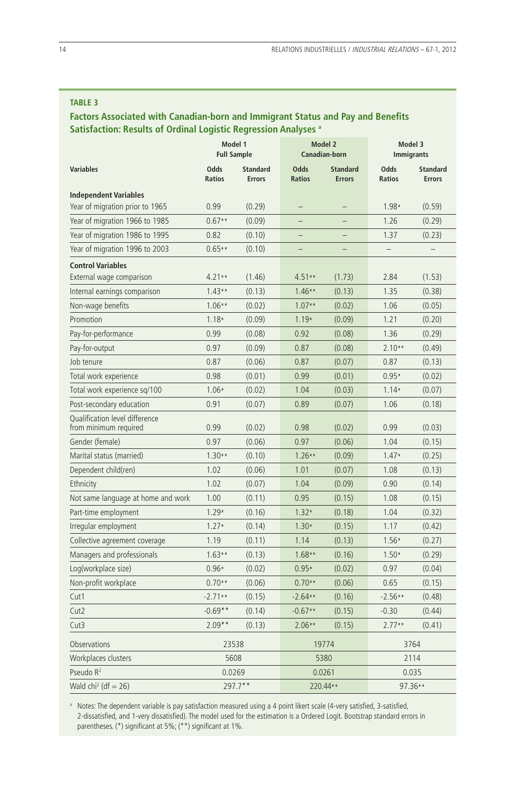#### **TABLE 3**

#### **Factors Associated with Canadian-born and Immigrant Status and Pay and Benefits Satisfaction: Results of Ordinal Logistic Regression Analyses a**

|                                                         | Model 1<br><b>Full Sample</b> |                                  | Model 2<br>Canadian-born |                                  | Model 3<br><b>Immigrants</b> |                                  |
|---------------------------------------------------------|-------------------------------|----------------------------------|--------------------------|----------------------------------|------------------------------|----------------------------------|
| <b>Variables</b>                                        | Odds<br><b>Ratios</b>         | <b>Standard</b><br><b>Errors</b> | Odds<br><b>Ratios</b>    | <b>Standard</b><br><b>Errors</b> | Odds<br><b>Ratios</b>        | <b>Standard</b><br><b>Errors</b> |
| <b>Independent Variables</b>                            |                               |                                  |                          |                                  |                              |                                  |
| Year of migration prior to 1965                         | 0.99                          | (0.29)                           |                          |                                  | 1.98*                        | (0.59)                           |
| Year of migration 1966 to 1985                          | $0.67**$                      | (0.09)                           |                          |                                  | 1.26                         | (0.29)                           |
| Year of migration 1986 to 1995                          | 0.82                          | (0.10)                           |                          |                                  | 1.37                         | (0.23)                           |
| Year of migration 1996 to 2003                          | $0.65**$                      | (0.10)                           |                          |                                  |                              |                                  |
| <b>Control Variables</b>                                |                               |                                  |                          |                                  |                              |                                  |
| External wage comparison                                | $4.21**$                      | (1.46)                           | $4.51**$                 | (1.73)                           | 2.84                         | (1.53)                           |
| Internal earnings comparison                            | $1.43**$                      | (0.13)                           | $1.46**$                 | (0.13)                           | 1.35                         | (0.38)                           |
| Non-wage benefits                                       | $1.06**$                      | (0.02)                           | $1.07**$                 | (0.02)                           | 1.06                         | (0.05)                           |
| Promotion                                               | $1.18*$                       | (0.09)                           | $1.19*$                  | (0.09)                           | 1.21                         | (0.20)                           |
| Pay-for-performance                                     | 0.99                          | (0.08)                           | 0.92                     | (0.08)                           | 1.36                         | (0.29)                           |
| Pay-for-output                                          | 0.97                          | (0.09)                           | 0.87                     | (0.08)                           | $2.10**$                     | (0.49)                           |
| Job tenure                                              | 0.87                          | (0.06)                           | 0.87                     | (0.07)                           | 0.87                         | (0.13)                           |
| Total work experience                                   | 0.98                          | (0.01)                           | 0.99                     | (0.01)                           | $0.95*$                      | (0.02)                           |
| Total work experience sq/100                            | $1.06*$                       | (0.02)                           | 1.04                     | (0.03)                           | $1.14*$                      | (0.07)                           |
| Post-secondary education                                | 0.91                          | (0.07)                           | 0.89                     | (0.07)                           | 1.06                         | (0.18)                           |
| Qualification level difference<br>from minimum required | 0.99                          | (0.02)                           | 0.98                     | (0.02)                           | 0.99                         | (0.03)                           |
| Gender (female)                                         | 0.97                          | (0.06)                           | 0.97                     | (0.06)                           | 1.04                         | (0.15)                           |
| Marital status (married)                                | $1.30**$                      | (0.10)                           | $1.26**$                 | (0.09)                           | $1.47*$                      | (0.25)                           |
| Dependent child(ren)                                    | 1.02                          | (0.06)                           | 1.01                     | (0.07)                           | 1.08                         | (0.13)                           |
| Ethnicity                                               | 1.02                          | (0.07)                           | 1.04                     | (0.09)                           | 0.90                         | (0.14)                           |
| Not same language at home and work                      | 1.00                          | (0.11)                           | 0.95                     | (0.15)                           | 1.08                         | (0.15)                           |
| Part-time employment                                    | $1.29*$                       | (0.16)                           | $1.32*$                  | (0.18)                           | 1.04                         | (0.32)                           |
| Irregular employment                                    | $1.27*$                       | (0.14)                           | $1.30*$                  | (0.15)                           | 1.17                         | (0.42)                           |
| Collective agreement coverage                           | 1.19                          | (0.11)                           | 1.14                     | (0.13)                           | $1.56*$                      | (0.27)                           |
| Managers and professionals                              | $1.63**$                      | (0.13)                           | $1.68**$                 | (0.16)                           | $1.50*$                      | (0.29)                           |
| Log(workplace size)                                     | $0.96*$                       | (0.02)                           | $0.95*$                  | (0.02)                           | 0.97                         | (0.04)                           |
| Non-profit workplace                                    | $0.70**$                      | (0.06)                           | $0.70**$                 | (0.06)                           | 0.65                         | (0.15)                           |
| Cut1                                                    | $-2.71**$                     | (0.15)                           | $-2.64**$                | (0.16)                           | $-2.56**$                    | (0.48)                           |
| Cut2                                                    | $-0.69**$                     | (0.14)                           | $-0.67**$                | (0.15)                           | $-0.30$                      | (0.44)                           |
| Cut3                                                    | $2.09**$                      | (0.13)                           | $2.06**$                 | (0.15)                           | $2.77**$                     | (0.41)                           |
| Observations                                            | 23538                         |                                  | 19774                    |                                  | 3764                         |                                  |
| Workplaces clusters                                     | 5608                          |                                  | 5380                     |                                  | 2114                         |                                  |
| Pseudo R <sup>2</sup>                                   | 0.0269                        |                                  | 0.0261                   |                                  | 0.035                        |                                  |
| Wald chi <sup>2</sup> (df = 26)                         | 297.7**                       |                                  | 220.44**                 |                                  | 97.36**                      |                                  |

a Notes: The dependent variable is pay satisfaction measured using a 4 point likert scale (4-very satisfied, 3-satisfied, 2-dissatisfied, and 1-very dissatisfied). The model used for the estimation is a Ordered Logit. Bootstrap standard errors in parentheses. (\*) significant at 5%; (\*\*) significant at 1%.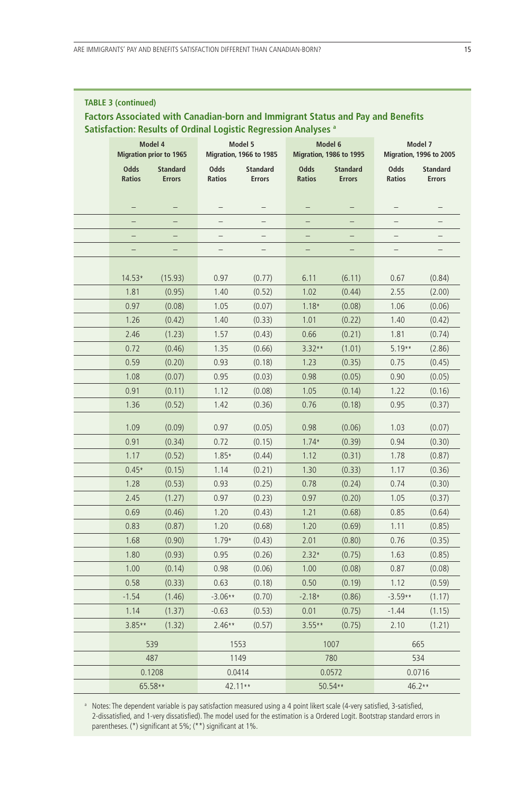#### **TABLE 3 (continued)**

#### **Factors Associated with Canadian-born and Immigrant Status and Pay and Benefits Satisfaction: Results of Ordinal Logistic Regression Analyses a**

| Model 4<br><b>Migration prior to 1965</b> |                                  | Model 5<br><b>Migration, 1966 to 1985</b> |                                  | Model 6<br><b>Migration, 1986 to 1995</b> |                                  | Model 7<br><b>Migration, 1996 to 2005</b> |                                  |
|-------------------------------------------|----------------------------------|-------------------------------------------|----------------------------------|-------------------------------------------|----------------------------------|-------------------------------------------|----------------------------------|
| Odds<br><b>Ratios</b>                     | <b>Standard</b><br><b>Errors</b> | Odds<br><b>Ratios</b>                     | <b>Standard</b><br><b>Errors</b> | Odds<br><b>Ratios</b>                     | <b>Standard</b><br><b>Errors</b> | Odds<br><b>Ratios</b>                     | <b>Standard</b><br><b>Errors</b> |
|                                           |                                  |                                           |                                  |                                           |                                  |                                           |                                  |
|                                           |                                  | -                                         | $\overline{\phantom{0}}$         |                                           |                                  |                                           |                                  |
| -                                         | -                                | $\overline{\phantom{0}}$                  | -                                | -                                         | -                                | -                                         | $\overline{\phantom{0}}$         |
| -                                         | -                                | -                                         | -                                | -                                         | $\overline{\phantom{0}}$         | $\overline{\phantom{0}}$                  | $\overline{\phantom{0}}$         |
|                                           |                                  |                                           | $\overline{a}$                   |                                           | $\overline{a}$                   | $\overline{\phantom{0}}$                  | $\overline{\phantom{0}}$         |
|                                           |                                  |                                           |                                  |                                           |                                  |                                           |                                  |
| $14.53*$                                  | (15.93)                          | 0.97                                      | (0.77)                           | 6.11                                      | (6.11)                           | 0.67                                      | (0.84)                           |
| 1.81                                      | (0.95)                           | 1.40                                      | (0.52)                           | 1.02                                      | (0.44)                           | 2.55                                      | (2.00)                           |
| 0.97                                      | (0.08)                           | 1.05                                      | (0.07)                           | $1.18*$                                   | (0.08)                           | 1.06                                      | (0.06)                           |
| 1.26                                      | (0.42)                           | 1.40                                      | (0.33)                           | 1.01                                      | (0.22)                           | 1.40                                      | (0.42)                           |
| 2.46                                      | (1.23)                           | 1.57                                      | (0.43)                           | 0.66                                      | (0.21)                           | 1.81                                      | (0.74)                           |
| 0.72                                      | (0.46)                           | 1.35                                      | (0.66)                           | $3.32**$                                  | (1.01)                           | $5.19**$                                  | (2.86)                           |
| 0.59                                      | (0.20)                           | 0.93                                      | (0.18)                           | 1.23                                      | (0.35)                           | 0.75                                      | (0.45)                           |
| 1.08                                      | (0.07)                           | 0.95                                      | (0.03)                           | 0.98                                      | (0.05)                           | 0.90                                      | (0.05)                           |
| 0.91                                      | (0.11)                           | 1.12                                      | (0.08)                           | 1.05                                      | (0.14)                           | 1.22                                      | (0.16)                           |
| 1.36                                      | (0.52)                           | 1.42                                      | (0.36)                           | 0.76                                      | (0.18)                           | 0.95                                      | (0.37)                           |
| 1.09                                      | (0.09)                           | 0.97                                      | (0.05)                           | 0.98                                      | (0.06)                           | 1.03                                      | (0.07)                           |
| 0.91                                      | (0.34)                           | 0.72                                      | (0.15)                           | $1.74*$                                   | (0.39)                           | 0.94                                      | (0.30)                           |
| 1.17                                      | (0.52)                           | $1.85*$                                   | (0.44)                           | 1.12                                      | (0.31)                           | 1.78                                      | (0.87)                           |
| $0.45*$                                   | (0.15)                           | 1.14                                      | (0.21)                           | 1.30                                      | (0.33)                           | 1.17                                      | (0.36)                           |
| 1.28                                      | (0.53)                           | 0.93                                      | (0.25)                           | 0.78                                      | (0.24)                           | 0.74                                      | (0.30)                           |
| 2.45                                      | (1.27)                           | 0.97                                      | (0.23)                           | 0.97                                      | (0.20)                           | 1.05                                      | (0.37)                           |
| 0.69                                      | (0.46)                           | 1.20                                      | (0.43)                           | 1.21                                      | (0.68)                           | 0.85                                      | (0.64)                           |
| 0.83                                      | (0.87)                           | 1.20                                      | (0.68)                           | 1.20                                      | (0.69)                           | 1.11                                      | (0.85)                           |
| 1.68                                      | (0.90)                           | $1.79*$                                   | (0.43)                           | 2.01                                      | (0.80)                           | 0.76                                      | (0.35)                           |
| 1.80                                      | (0.93)                           | 0.95                                      | (0.26)                           | $2.32*$                                   | (0.75)                           | 1.63                                      | (0.85)                           |
| 1.00                                      | (0.14)                           | 0.98                                      | (0.06)                           | 1.00                                      | (0.08)                           | 0.87                                      | (0.08)                           |
| 0.58                                      | (0.33)                           | 0.63                                      | (0.18)                           | 0.50                                      | (0.19)                           | 1.12                                      | (0.59)                           |
| $-1.54$                                   | (1.46)                           | $-3.06**$                                 | (0.70)                           | $-2.18*$                                  | (0.86)                           | $-3.59**$                                 | (1.17)                           |
| 1.14                                      | (1.37)                           | $-0.63$                                   | (0.53)                           | 0.01                                      | (0.75)                           | $-1.44$                                   | (1.15)                           |
| $3.85**$                                  | (1.32)                           | $2.46**$                                  | (0.57)                           | $3.55**$                                  | (0.75)                           | 2.10                                      | (1.21)                           |
| 539                                       |                                  | 1553                                      |                                  | 1007                                      |                                  | 665                                       |                                  |
| 487                                       |                                  | 1149                                      |                                  | 780                                       |                                  | 534                                       |                                  |
|                                           | 0.1208                           | 0.0414                                    |                                  | 0.0572                                    |                                  | 0.0716                                    |                                  |
| 65.58**                                   |                                  | 42.11**                                   |                                  | 50.54**                                   |                                  | $46.2**$                                  |                                  |

a Notes: The dependent variable is pay satisfaction measured using a 4 point likert scale (4-very satisfied, 3-satisfied, 2-dissatisfied, and 1-very dissatisfied). The model used for the estimation is a Ordered Logit. Bootstrap standard errors in parentheses. (\*) significant at 5%; (\*\*) significant at 1%.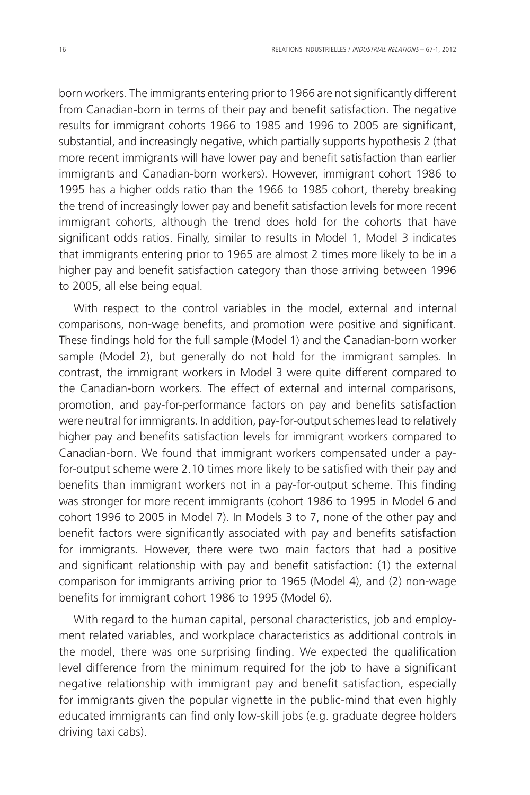born workers. The immigrants entering prior to 1966 are not significantly different from Canadian-born in terms of their pay and benefit satisfaction. The negative results for immigrant cohorts 1966 to 1985 and 1996 to 2005 are significant, substantial, and increasingly negative, which partially supports hypothesis 2 (that more recent immigrants will have lower pay and benefit satisfaction than earlier immigrants and Canadian-born workers). However, immigrant cohort 1986 to 1995 has a higher odds ratio than the 1966 to 1985 cohort, thereby breaking the trend of increasingly lower pay and benefit satisfaction levels for more recent immigrant cohorts, although the trend does hold for the cohorts that have significant odds ratios. Finally, similar to results in Model 1, Model 3 indicates that immigrants entering prior to 1965 are almost 2 times more likely to be in a higher pay and benefit satisfaction category than those arriving between 1996 to 2005, all else being equal.

With respect to the control variables in the model, external and internal comparisons, non-wage benefits, and promotion were positive and significant. These findings hold for the full sample (Model 1) and the Canadian-born worker sample (Model 2), but generally do not hold for the immigrant samples. In contrast, the immigrant workers in Model 3 were quite different compared to the Canadian-born workers. The effect of external and internal comparisons, promotion, and pay-for-performance factors on pay and benefits satisfaction were neutral for immigrants. In addition, pay-for-output schemes lead to relatively higher pay and benefits satisfaction levels for immigrant workers compared to Canadian-born. We found that immigrant workers compensated under a payfor-output scheme were 2.10 times more likely to be satisfied with their pay and benefits than immigrant workers not in a pay-for-output scheme. This finding was stronger for more recent immigrants (cohort 1986 to 1995 in Model 6 and cohort 1996 to 2005 in Model 7). In Models 3 to 7, none of the other pay and benefit factors were significantly associated with pay and benefits satisfaction for immigrants. However, there were two main factors that had a positive and significant relationship with pay and benefit satisfaction: (1) the external comparison for immigrants arriving prior to 1965 (Model 4), and (2) non-wage benefits for immigrant cohort 1986 to 1995 (Model 6).

With regard to the human capital, personal characteristics, job and employment related variables, and workplace characteristics as additional controls in the model, there was one surprising finding. We expected the qualification level difference from the minimum required for the job to have a significant negative relationship with immigrant pay and benefit satisfaction, especially for immigrants given the popular vignette in the public-mind that even highly educated immigrants can find only low-skill jobs (e.g. graduate degree holders driving taxi cabs).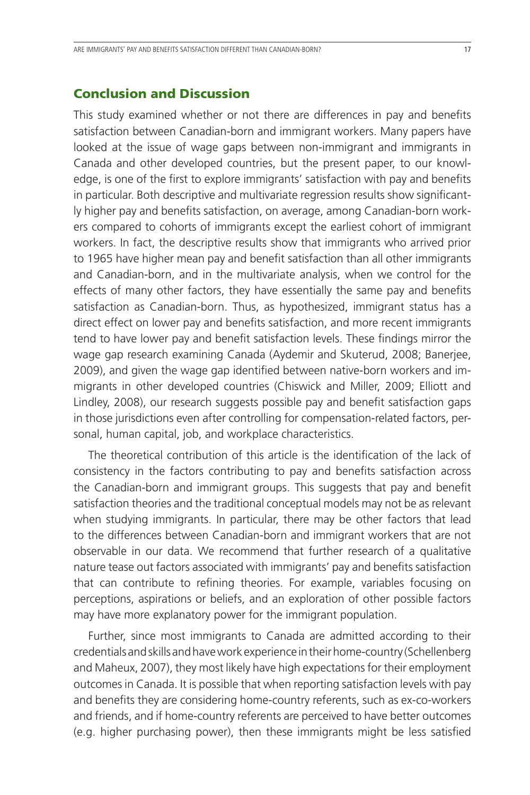## Conclusion and Discussion

This study examined whether or not there are differences in pay and benefits satisfaction between Canadian-born and immigrant workers. Many papers have looked at the issue of wage gaps between non-immigrant and immigrants in Canada and other developed countries, but the present paper, to our knowledge, is one of the first to explore immigrants' satisfaction with pay and benefits in particular. Both descriptive and multivariate regression results show significantly higher pay and benefits satisfaction, on average, among Canadian-born workers compared to cohorts of immigrants except the earliest cohort of immigrant workers. In fact, the descriptive results show that immigrants who arrived prior to 1965 have higher mean pay and benefit satisfaction than all other immigrants and Canadian-born, and in the multivariate analysis, when we control for the effects of many other factors, they have essentially the same pay and benefits satisfaction as Canadian-born. Thus, as hypothesized, immigrant status has a direct effect on lower pay and benefits satisfaction, and more recent immigrants tend to have lower pay and benefit satisfaction levels. These findings mirror the wage gap research examining Canada (Aydemir and Skuterud, 2008; Banerjee, 2009), and given the wage gap identified between native-born workers and immigrants in other developed countries (Chiswick and Miller, 2009; Elliott and Lindley, 2008), our research suggests possible pay and benefit satisfaction gaps in those jurisdictions even after controlling for compensation-related factors, personal, human capital, job, and workplace characteristics.

The theoretical contribution of this article is the identification of the lack of consistency in the factors contributing to pay and benefits satisfaction across the Canadian-born and immigrant groups. This suggests that pay and benefit satisfaction theories and the traditional conceptual models may not be as relevant when studying immigrants. In particular, there may be other factors that lead to the differences between Canadian-born and immigrant workers that are not observable in our data. We recommend that further research of a qualitative nature tease out factors associated with immigrants' pay and benefits satisfaction that can contribute to refining theories. For example, variables focusing on perceptions, aspirations or beliefs, and an exploration of other possible factors may have more explanatory power for the immigrant population.

Further, since most immigrants to Canada are admitted according to their credentials and skills and have work experience in their home-country (Schellenberg and Maheux, 2007), they most likely have high expectations for their employment outcomes in Canada. It is possible that when reporting satisfaction levels with pay and benefits they are considering home-country referents, such as ex-co-workers and friends, and if home-country referents are perceived to have better outcomes (e.g. higher purchasing power), then these immigrants might be less satisfied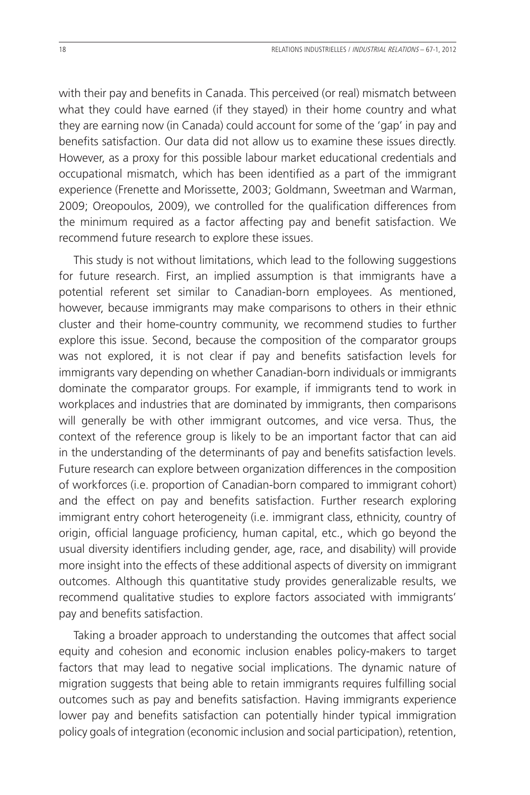with their pay and benefits in Canada. This perceived (or real) mismatch between what they could have earned (if they stayed) in their home country and what they are earning now (in Canada) could account for some of the 'gap' in pay and benefits satisfaction. Our data did not allow us to examine these issues directly. However, as a proxy for this possible labour market educational credentials and occupational mismatch, which has been identified as a part of the immigrant experience (Frenette and Morissette, 2003; Goldmann, Sweetman and Warman, 2009; Oreopoulos, 2009), we controlled for the qualification differences from the minimum required as a factor affecting pay and benefit satisfaction. We recommend future research to explore these issues.

This study is not without limitations, which lead to the following suggestions for future research. First, an implied assumption is that immigrants have a potential referent set similar to Canadian-born employees. As mentioned, however, because immigrants may make comparisons to others in their ethnic cluster and their home-country community, we recommend studies to further explore this issue. Second, because the composition of the comparator groups was not explored, it is not clear if pay and benefits satisfaction levels for immigrants vary depending on whether Canadian-born individuals or immigrants dominate the comparator groups. For example, if immigrants tend to work in workplaces and industries that are dominated by immigrants, then comparisons will generally be with other immigrant outcomes, and vice versa. Thus, the context of the reference group is likely to be an important factor that can aid in the understanding of the determinants of pay and benefits satisfaction levels. Future research can explore between organization differences in the composition of workforces (i.e. proportion of Canadian-born compared to immigrant cohort) and the effect on pay and benefits satisfaction. Further research exploring immigrant entry cohort heterogeneity (i.e. immigrant class, ethnicity, country of origin, official language proficiency, human capital, etc., which go beyond the usual diversity identifiers including gender, age, race, and disability) will provide more insight into the effects of these additional aspects of diversity on immigrant outcomes. Although this quantitative study provides generalizable results, we recommend qualitative studies to explore factors associated with immigrants' pay and benefits satisfaction.

Taking a broader approach to understanding the outcomes that affect social equity and cohesion and economic inclusion enables policy-makers to target factors that may lead to negative social implications. The dynamic nature of migration suggests that being able to retain immigrants requires fulfilling social outcomes such as pay and benefits satisfaction. Having immigrants experience lower pay and benefits satisfaction can potentially hinder typical immigration policy goals of integration (economic inclusion and social participation), retention,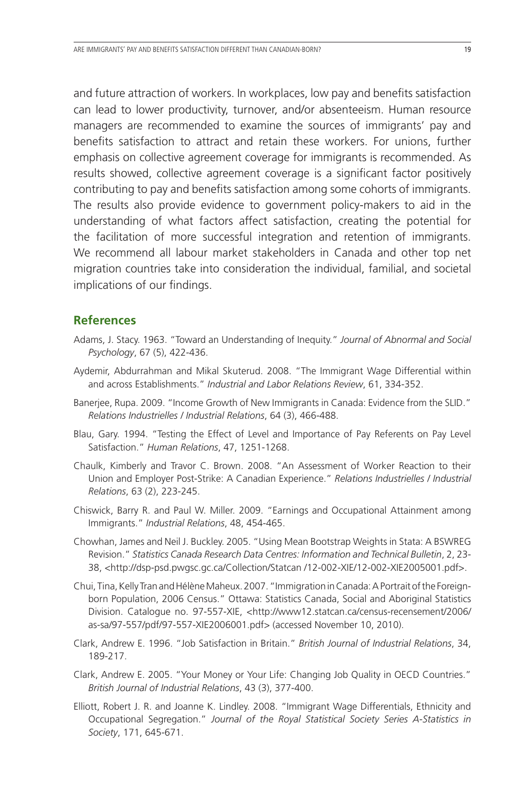and future attraction of workers. In workplaces, low pay and benefits satisfaction can lead to lower productivity, turnover, and/or absenteeism. Human resource managers are recommended to examine the sources of immigrants' pay and benefits satisfaction to attract and retain these workers. For unions, further emphasis on collective agreement coverage for immigrants is recommended. As results showed, collective agreement coverage is a significant factor positively contributing to pay and benefits satisfaction among some cohorts of immigrants. The results also provide evidence to government policy-makers to aid in the understanding of what factors affect satisfaction, creating the potential for the facilitation of more successful integration and retention of immigrants. We recommend all labour market stakeholders in Canada and other top net migration countries take into consideration the individual, familial, and societal implications of our findings.

#### **References**

- Adams, J. Stacy. 1963. "Toward an Understanding of Inequity." *Journal of Abnormal and Social Psychology*, 67 (5), 422-436.
- Aydemir, Abdurrahman and Mikal Skuterud. 2008. "The Immigrant Wage Differential within and across Establishments." *Industrial and Labor Relations Review*, 61, 334-352.
- Banerjee, Rupa. 2009. "Income Growth of New Immigrants in Canada: Evidence from the SLID." *Relations Industrielles / Industrial Relations*, 64 (3), 466-488.
- Blau, Gary. 1994. "Testing the Effect of Level and Importance of Pay Referents on Pay Level Satisfaction." *Human Relations*, 47, 1251-1268.
- Chaulk, Kimberly and Travor C. Brown. 2008. "An Assessment of Worker Reaction to their Union and Employer Post-Strike: A Canadian Experience." *Relations Industrielles / Industrial Relations*, 63 (2), 223-245.
- Chiswick, Barry R. and Paul W. Miller. 2009. "Earnings and Occupational Attainment among Immigrants." *Industrial Relations*, 48, 454-465.
- Chowhan, James and Neil J. Buckley. 2005. "Using Mean Bootstrap Weights in Stata: A BSWREG Revision." *Statistics Canada Research Data Centres: Information and Technical Bulletin*, 2, 23- 38, <http://dsp-psd.pwgsc.gc.ca/Collection/Statcan /12-002-XIE/12-002-XIE2005001.pdf>.
- Chui, Tina, Kelly Tran and Hélène Maheux. 2007. "Immigration in Canada: A Portrait of the Foreignborn Population, 2006 Census." Ottawa: Statistics Canada, Social and Aboriginal Statistics Division. Catalogue no. 97-557-XIE, <http://www12.statcan.ca/census-recensement/2006/ as-sa/97-557/pdf/97-557-XIE2006001.pdf> (accessed November 10, 2010).
- Clark, Andrew E. 1996. "Job Satisfaction in Britain." *British Journal of Industrial Relations*, 34, 189-217.
- Clark, Andrew E. 2005. "Your Money or Your Life: Changing Job Quality in OECD Countries." *British Journal of Industrial Relations*, 43 (3), 377-400.
- Elliott, Robert J. R. and Joanne K. Lindley. 2008. "Immigrant Wage Differentials, Ethnicity and Occupational Segregation." *Journal of the Royal Statistical Society Series A-Statistics in Society*, 171, 645-671.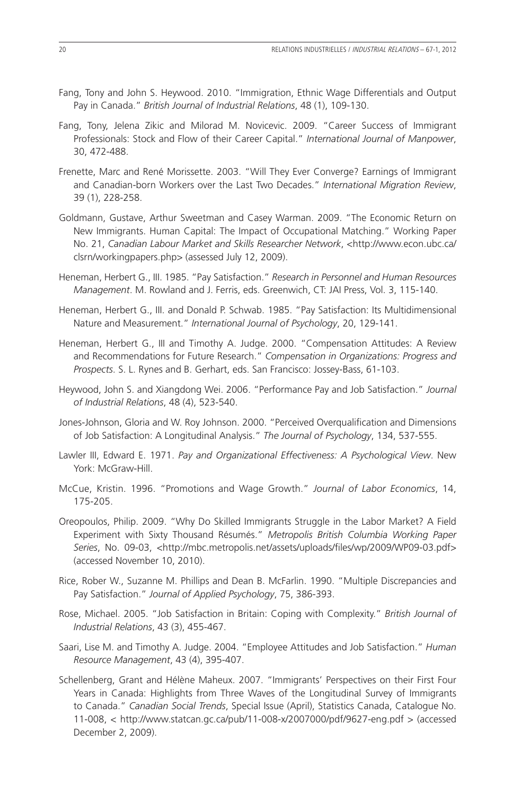- Fang, Tony and John S. Heywood. 2010. "Immigration, Ethnic Wage Differentials and Output Pay in Canada." *British Journal of Industrial Relations*, 48 (1), 109-130.
- Fang, Tony, Jelena Zikic and Milorad M. Novicevic. 2009. "Career Success of Immigrant Professionals: Stock and Flow of their Career Capital." *International Journal of Manpower*, 30, 472-488.
- Frenette, Marc and René Morissette. 2003. "Will They Ever Converge? Earnings of Immigrant and Canadian-born Workers over the Last Two Decades." *International Migration Review*, 39 (1), 228-258.
- Goldmann, Gustave, Arthur Sweetman and Casey Warman. 2009. "The Economic Return on New Immigrants. Human Capital: The Impact of Occupational Matching." Working Paper No. 21, *Canadian Labour Market and Skills Researcher Network*, <http://www.econ.ubc.ca/ clsrn/workingpapers.php> (assessed July 12, 2009).
- Heneman, Herbert G., III. 1985. "Pay Satisfaction." *Research in Personnel and Human Resources Management*. M. Rowland and J. Ferris, eds. Greenwich, CT: JAI Press, Vol. 3, 115-140.
- Heneman, Herbert G., III. and Donald P. Schwab. 1985. "Pay Satisfaction: Its Multidimensional Nature and Measurement." *International Journal of Psychology*, 20, 129-141.
- Heneman, Herbert G., III and Timothy A. Judge. 2000. "Compensation Attitudes: A Review and Recommendations for Future Research." *Compensation in Organizations: Progress and Prospects*. S. L. Rynes and B. Gerhart, eds. San Francisco: Jossey-Bass, 61-103.
- Heywood, John S. and Xiangdong Wei. 2006. "Performance Pay and Job Satisfaction." *Journal of Industrial Relations*, 48 (4), 523-540.
- Jones-Johnson, Gloria and W. Roy Johnson. 2000. "Perceived Overqualification and Dimensions of Job Satisfaction: A Longitudinal Analysis." *The Journal of Psychology*, 134, 537-555.
- Lawler III, Edward E. 1971. *Pay and Organizational Effectiveness: A Psychological View*. New York: McGraw-Hill.
- McCue, Kristin. 1996. "Promotions and Wage Growth." *Journal of Labor Economics*, 14, 175-205.
- Oreopoulos, Philip. 2009. "Why Do Skilled Immigrants Struggle in the Labor Market? A Field Experiment with Sixty Thousand Résumés." *Metropolis British Columbia Working Paper Series*, No. 09-03, <http://mbc.metropolis.net/assets/uploads/files/wp/2009/WP09-03.pdf> (accessed November 10, 2010).
- Rice, Rober W., Suzanne M. Phillips and Dean B. McFarlin. 1990. "Multiple Discrepancies and Pay Satisfaction." *Journal of Applied Psychology*, 75, 386-393.
- Rose, Michael. 2005. "Job Satisfaction in Britain: Coping with Complexity." *British Journal of Industrial Relations*, 43 (3), 455-467.
- Saari, Lise M. and Timothy A. Judge. 2004. "Employee Attitudes and Job Satisfaction." *Human Resource Management*, 43 (4), 395-407.
- Schellenberg, Grant and Hélène Maheux. 2007. "Immigrants' Perspectives on their First Four Years in Canada: Highlights from Three Waves of the Longitudinal Survey of Immigrants to Canada." *Canadian Social Trends*, Special Issue (April), Statistics Canada, Catalogue No. 11-008, < http://www.statcan.gc.ca/pub/11-008-x/2007000/pdf/9627-eng.pdf > (accessed December 2, 2009).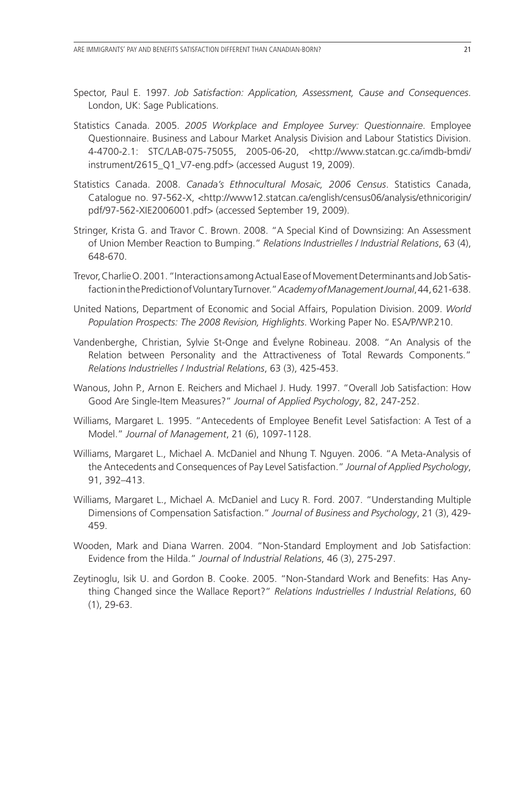- Spector, Paul E. 1997. *Job Satisfaction: Application, Assessment, Cause and Consequences*. London, UK: Sage Publications.
- Statistics Canada. 2005. *2005 Workplace and Employee Survey: Questionnaire*. Employee Questionnaire. Business and Labour Market Analysis Division and Labour Statistics Division. 4-4700-2.1: STC/LAB-075-75055, 2005-06-20, <http://www.statcan.gc.ca/imdb-bmdi/ instrument/2615\_Q1\_V7-eng.pdf> (accessed August 19, 2009).
- Statistics Canada. 2008. *Canada's Ethnocultural Mosaic, 2006 Census*. Statistics Canada, Catalogue no. 97-562-X, <http://www12.statcan.ca/english/census06/analysis/ethnicorigin/ pdf/97-562-XIE2006001.pdf> (accessed September 19, 2009).
- Stringer, Krista G. and Travor C. Brown. 2008. "A Special Kind of Downsizing: An Assessment of Union Member Reaction to Bumping." *Relations Industrielles / Industrial Relations*, 63 (4), 648-670.
- Trevor, Charlie O. 2001. "Interactions among Actual Ease of Movement Determinants and Job Satisfaction in the Prediction of Voluntary Turnover." *Academy of Management Journal*, 44, 621-638.
- United Nations, Department of Economic and Social Affairs, Population Division. 2009. *World Population Prospects: The 2008 Revision, Highlights*. Working Paper No. ESA/P/WP.210.
- Vandenberghe, Christian, Sylvie St-Onge and Évelyne Robineau. 2008. "An Analysis of the Relation between Personality and the Attractiveness of Total Rewards Components." *Relations Industrielles / Industrial Relations*, 63 (3), 425-453.
- Wanous, John P., Arnon E. Reichers and Michael J. Hudy. 1997. "Overall Job Satisfaction: How Good Are Single-Item Measures?" *Journal of Applied Psychology*, 82, 247-252.
- Williams, Margaret L. 1995. "Antecedents of Employee Benefit Level Satisfaction: A Test of a Model." *Journal of Management*, 21 (6), 1097-1128.
- Williams, Margaret L., Michael A. McDaniel and Nhung T. Nguyen. 2006. "A Meta-Analysis of the Antecedents and Consequences of Pay Level Satisfaction." *Journal of Applied Psychology*, 91, 392–413.
- Williams, Margaret L., Michael A. McDaniel and Lucy R. Ford. 2007. "Understanding Multiple Dimensions of Compensation Satisfaction." *Journal of Business and Psychology*, 21 (3), 429- 459.
- Wooden, Mark and Diana Warren. 2004. "Non-Standard Employment and Job Satisfaction: Evidence from the Hilda." *Journal of Industrial Relations*, 46 (3), 275-297.
- Zeytinoglu, Isik U. and Gordon B. Cooke. 2005. "Non-Standard Work and Benefits: Has Anything Changed since the Wallace Report?" *Relations Industrielles / Industrial Relations*, 60 (1), 29-63.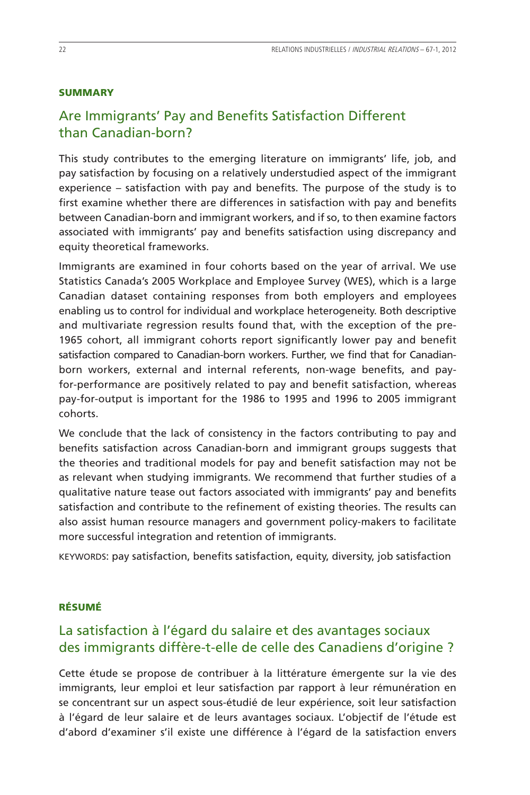#### **SUMMARY**

# Are Immigrants' Pay and Benefits Satisfaction Different than Canadian-born?

This study contributes to the emerging literature on immigrants' life, job, and pay satisfaction by focusing on a relatively understudied aspect of the immigrant experience – satisfaction with pay and benefits. The purpose of the study is to first examine whether there are differences in satisfaction with pay and benefits between Canadian-born and immigrant workers, and if so, to then examine factors associated with immigrants' pay and benefits satisfaction using discrepancy and equity theoretical frameworks.

Immigrants are examined in four cohorts based on the year of arrival. We use Statistics Canada's 2005 Workplace and Employee Survey (WES), which is a large Canadian dataset containing responses from both employers and employees enabling us to control for individual and workplace heterogeneity. Both descriptive and multivariate regression results found that, with the exception of the pre-1965 cohort, all immigrant cohorts report significantly lower pay and benefit satisfaction compared to Canadian-born workers. Further, we find that for Canadianborn workers, external and internal referents, non-wage benefits, and payfor-performance are positively related to pay and benefit satisfaction, whereas pay-for-output is important for the 1986 to 1995 and 1996 to 2005 immigrant cohorts.

We conclude that the lack of consistency in the factors contributing to pay and benefits satisfaction across Canadian-born and immigrant groups suggests that the theories and traditional models for pay and benefit satisfaction may not be as relevant when studying immigrants. We recommend that further studies of a qualitative nature tease out factors associated with immigrants' pay and benefits satisfaction and contribute to the refinement of existing theories. The results can also assist human resource managers and government policy-makers to facilitate more successful integration and retention of immigrants.

Keywords: pay satisfaction, benefits satisfaction, equity, diversity, job satisfaction

### Résumé

# La satisfaction à l'égard du salaire et des avantages sociaux des immigrants diffère-t-elle de celle des Canadiens d'origine ?

Cette étude se propose de contribuer à la littérature émergente sur la vie des immigrants, leur emploi et leur satisfaction par rapport à leur rémunération en se concentrant sur un aspect sous-étudié de leur expérience, soit leur satisfaction à l'égard de leur salaire et de leurs avantages sociaux. L'objectif de l'étude est d'abord d'examiner s'il existe une différence à l'égard de la satisfaction envers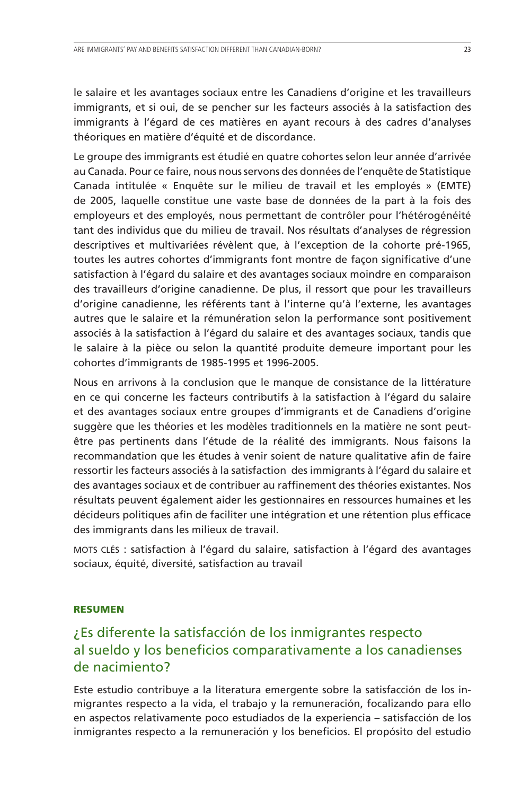le salaire et les avantages sociaux entre les Canadiens d'origine et les travailleurs immigrants, et si oui, de se pencher sur les facteurs associés à la satisfaction des immigrants à l'égard de ces matières en ayant recours à des cadres d'analyses théoriques en matière d'équité et de discordance.

Le groupe des immigrants est étudié en quatre cohortes selon leur année d'arrivée au Canada. Pour ce faire, nous nous servons des données de l'enquête de Statistique Canada intitulée « Enquête sur le milieu de travail et les employés » (EMTE) de 2005, laquelle constitue une vaste base de données de la part à la fois des employeurs et des employés, nous permettant de contrôler pour l'hétérogénéité tant des individus que du milieu de travail. Nos résultats d'analyses de régression descriptives et multivariées révèlent que, à l'exception de la cohorte pré-1965, toutes les autres cohortes d'immigrants font montre de façon significative d'une satisfaction à l'égard du salaire et des avantages sociaux moindre en comparaison des travailleurs d'origine canadienne. De plus, il ressort que pour les travailleurs d'origine canadienne, les référents tant à l'interne qu'à l'externe, les avantages autres que le salaire et la rémunération selon la performance sont positivement associés à la satisfaction à l'égard du salaire et des avantages sociaux, tandis que le salaire à la pièce ou selon la quantité produite demeure important pour les cohortes d'immigrants de 1985-1995 et 1996-2005.

Nous en arrivons à la conclusion que le manque de consistance de la littérature en ce qui concerne les facteurs contributifs à la satisfaction à l'égard du salaire et des avantages sociaux entre groupes d'immigrants et de Canadiens d'origine suggère que les théories et les modèles traditionnels en la matière ne sont peutêtre pas pertinents dans l'étude de la réalité des immigrants. Nous faisons la recommandation que les études à venir soient de nature qualitative afin de faire ressortir les facteurs associés à la satisfaction des immigrants à l'égard du salaire et des avantages sociaux et de contribuer au raffinement des théories existantes. Nos résultats peuvent également aider les gestionnaires en ressources humaines et les décideurs politiques afin de faciliter une intégration et une rétention plus efficace des immigrants dans les milieux de travail.

Mots clés : satisfaction à l'égard du salaire, satisfaction à l'égard des avantages sociaux, équité, diversité, satisfaction au travail

#### RESUMEN

# ¿Es diferente la satisfacción de los inmigrantes respecto al sueldo y los beneficios comparativamente a los canadienses de nacimiento?

Este estudio contribuye a la literatura emergente sobre la satisfacción de los inmigrantes respecto a la vida, el trabajo y la remuneración, focalizando para ello en aspectos relativamente poco estudiados de la experiencia – satisfacción de los inmigrantes respecto a la remuneración y los beneficios. El propósito del estudio